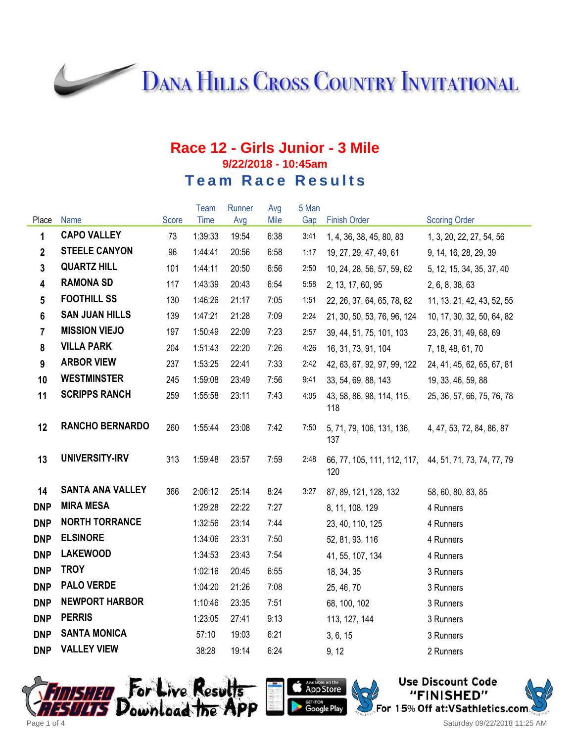**DANA HILLS CROSS COUNTRY INVITATIONAL** 

## **Race 12 - Girls Junior - 3 Mile 9/22/2018 - 10:45am Team Race Results**

|                         |                         |       | Team    | Runner | Avg  | 5 Man |                                                               |                            |
|-------------------------|-------------------------|-------|---------|--------|------|-------|---------------------------------------------------------------|----------------------------|
| Place                   | <b>Name</b>             | Score | Time    | Avg    | Mile | Gap   | <b>Finish Order</b>                                           | <b>Scoring Order</b>       |
| 1                       | <b>CAPO VALLEY</b>      | 73    | 1:39:33 | 19:54  | 6:38 | 3:41  | 1, 4, 36, 38, 45, 80, 83                                      | 1, 3, 20, 22, 27, 54, 56   |
| $\overline{2}$          | <b>STEELE CANYON</b>    | 96    | 1:44:41 | 20:56  | 6:58 | 1:17  | 19, 27, 29, 47, 49, 61                                        | 9, 14, 16, 28, 29, 39      |
| $\mathbf{3}$            | <b>QUARTZ HILL</b>      | 101   | 1:44:11 | 20:50  | 6:56 | 2:50  | 10, 24, 28, 56, 57, 59, 62                                    | 5, 12, 15, 34, 35, 37, 40  |
| $\overline{\mathbf{4}}$ | <b>RAMONA SD</b>        | 117   | 1:43:39 | 20:43  | 6:54 | 5:58  | 2, 13, 17, 60, 95                                             | 2, 6, 8, 38, 63            |
| $5\phantom{.0}$         | <b>FOOTHILL SS</b>      | 130   | 1:46:26 | 21:17  | 7:05 | 1:51  | 22, 26, 37, 64, 65, 78, 82                                    | 11, 13, 21, 42, 43, 52, 55 |
| $6\phantom{a}$          | <b>SAN JUAN HILLS</b>   | 139   | 1:47:21 | 21:28  | 7:09 | 2:24  | 21, 30, 50, 53, 76, 96, 124                                   | 10, 17, 30, 32, 50, 64, 82 |
| $\overline{7}$          | <b>MISSION VIEJO</b>    | 197   | 1:50:49 | 22:09  | 7:23 | 2:57  | 39, 44, 51, 75, 101, 103                                      | 23, 26, 31, 49, 68, 69     |
| 8                       | <b>VILLA PARK</b>       | 204   | 1:51:43 | 22:20  | 7:26 | 4:26  | 16, 31, 73, 91, 104                                           | 7, 18, 48, 61, 70          |
| 9                       | <b>ARBOR VIEW</b>       | 237   | 1:53:25 | 22:41  | 7:33 | 2:42  | 42, 63, 67, 92, 97, 99, 122                                   | 24, 41, 45, 62, 65, 67, 81 |
| 10                      | <b>WESTMINSTER</b>      | 245   | 1:59:08 | 23:49  | 7:56 | 9:41  | 33, 54, 69, 88, 143                                           | 19, 33, 46, 59, 88         |
| 11                      | <b>SCRIPPS RANCH</b>    | 259   | 1:55:58 | 23:11  | 7:43 | 4:05  | 43, 58, 86, 98, 114, 115,<br>118                              | 25, 36, 57, 66, 75, 76, 78 |
| 12                      | <b>RANCHO BERNARDO</b>  | 260   | 1:55:44 | 23:08  | 7:42 | 7:50  | 5, 71, 79, 106, 131, 136,<br>137                              | 4, 47, 53, 72, 84, 86, 87  |
| 13                      | UNIVERSITY-IRV          | 313   | 1:59:48 | 23:57  | 7:59 | 2:48  | 66, 77, 105, 111, 112, 117, 44, 51, 71, 73, 74, 77, 79<br>120 |                            |
| 14                      | <b>SANTA ANA VALLEY</b> | 366   | 2:06:12 | 25:14  | 8:24 | 3:27  | 87, 89, 121, 128, 132                                         | 58, 60, 80, 83, 85         |
| <b>DNP</b>              | <b>MIRA MESA</b>        |       | 1:29:28 | 22:22  | 7:27 |       | 8, 11, 108, 129                                               | 4 Runners                  |
| <b>DNP</b>              | <b>NORTH TORRANCE</b>   |       | 1:32:56 | 23:14  | 7:44 |       | 23, 40, 110, 125                                              | 4 Runners                  |
| <b>DNP</b>              | <b>ELSINORE</b>         |       | 1:34:06 | 23:31  | 7:50 |       | 52, 81, 93, 116                                               | 4 Runners                  |
| <b>DNP</b>              | <b>LAKEWOOD</b>         |       | 1:34:53 | 23:43  | 7:54 |       | 41, 55, 107, 134                                              | 4 Runners                  |
| <b>DNP</b>              | <b>TROY</b>             |       | 1:02:16 | 20:45  | 6:55 |       | 18, 34, 35                                                    | 3 Runners                  |
| <b>DNP</b>              | <b>PALO VERDE</b>       |       | 1:04:20 | 21:26  | 7:08 |       | 25, 46, 70                                                    | 3 Runners                  |
| <b>DNP</b>              | <b>NEWPORT HARBOR</b>   |       | 1:10:46 | 23:35  | 7:51 |       | 68, 100, 102                                                  | 3 Runners                  |
| <b>DNP</b>              | <b>PERRIS</b>           |       | 1:23:05 | 27:41  | 9:13 |       | 113, 127, 144                                                 | 3 Runners                  |
| <b>DNP</b>              | <b>SANTA MONICA</b>     |       | 57:10   | 19:03  | 6:21 |       | 3, 6, 15                                                      | 3 Runners                  |
| <b>DNP</b>              | <b>VALLEY VIEW</b>      |       | 38:28   | 19:14  | 6:24 |       | 9, 12                                                         | 2 Runners                  |





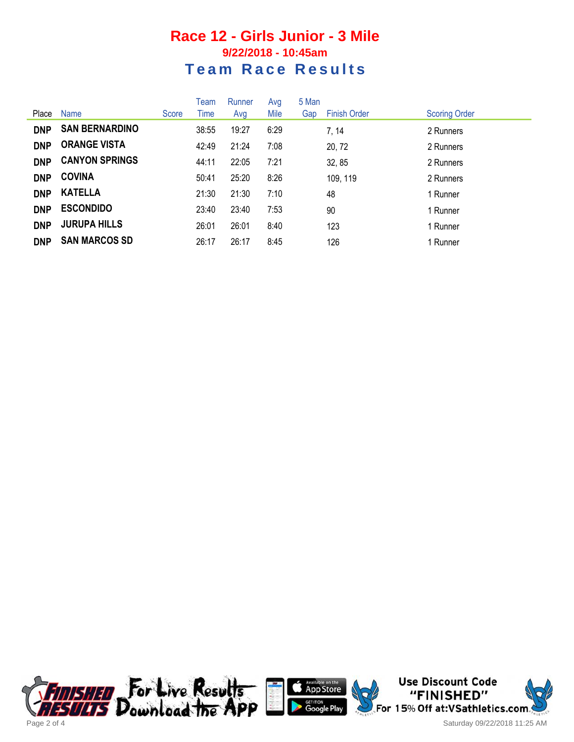## **Race 12 - Girls Junior - 3 Mile 9/22/2018 - 10:45am Team Race Results**

|            |                       |       | Team  | Runner | Avg  | 5 Man |                     |                      |
|------------|-----------------------|-------|-------|--------|------|-------|---------------------|----------------------|
| Place      | Name                  | Score | Time  | Avg    | Mile | Gap   | <b>Finish Order</b> | <b>Scoring Order</b> |
| <b>DNP</b> | <b>SAN BERNARDINO</b> |       | 38:55 | 19:27  | 6:29 |       | 7, 14               | 2 Runners            |
| <b>DNP</b> | <b>ORANGE VISTA</b>   |       | 42:49 | 21:24  | 7:08 |       | 20, 72              | 2 Runners            |
| <b>DNP</b> | <b>CANYON SPRINGS</b> |       | 44:11 | 22:05  | 7:21 |       | 32, 85              | 2 Runners            |
| <b>DNP</b> | <b>COVINA</b>         |       | 50:41 | 25:20  | 8:26 |       | 109, 119            | 2 Runners            |
| <b>DNP</b> | <b>KATELLA</b>        |       | 21:30 | 21:30  | 7:10 |       | 48                  | 1 Runner             |
| <b>DNP</b> | <b>ESCONDIDO</b>      |       | 23:40 | 23:40  | 7:53 |       | 90                  | 1 Runner             |
| <b>DNP</b> | <b>JURUPA HILLS</b>   |       | 26:01 | 26:01  | 8:40 |       | 123                 | 1 Runner             |
| <b>DNP</b> | <b>SAN MARCOS SD</b>  |       | 26:17 | 26:17  | 8:45 |       | 126                 | 1 Runner             |





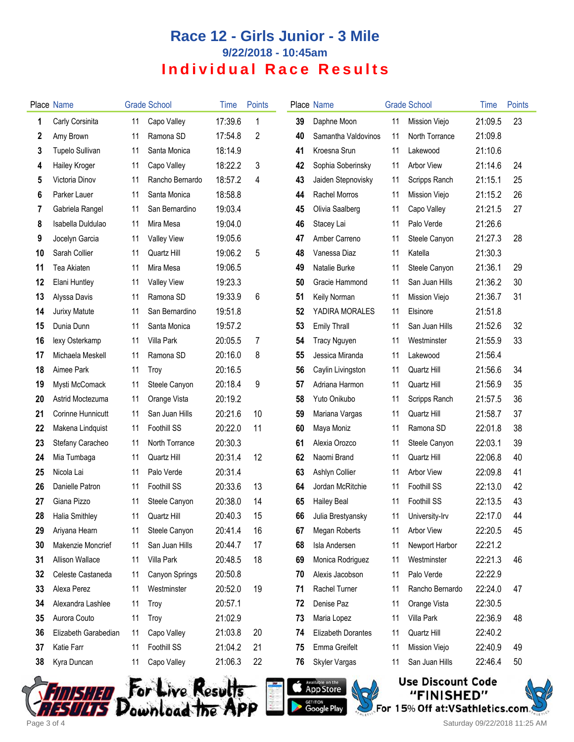## **Race 12 - Girls Junior - 3 Mile 9/22/2018 - 10:45am Individual Race Results**

|    | Place Name           |    | <b>Grade School</b> | Time    | <b>Points</b> |    | Place Name                |    | <b>Grade School</b> | Time    | Points |
|----|----------------------|----|---------------------|---------|---------------|----|---------------------------|----|---------------------|---------|--------|
| 1  | Carly Corsinita      | 11 | Capo Valley         | 17:39.6 | 1             | 39 | Daphne Moon               | 11 | Mission Viejo       | 21:09.5 | 23     |
| 2  | Amy Brown            | 11 | Ramona SD           | 17:54.8 | 2             | 40 | Samantha Valdovinos       | 11 | North Torrance      | 21:09.8 |        |
| 3  | Tupelo Sullivan      | 11 | Santa Monica        | 18:14.9 |               | 41 | Kroesna Srun              | 11 | Lakewood            | 21:10.6 |        |
| 4  | Hailey Kroger        | 11 | Capo Valley         | 18:22.2 | 3             | 42 | Sophia Soberinsky         | 11 | <b>Arbor View</b>   | 21:14.6 | 24     |
| 5  | Victoria Dinov       | 11 | Rancho Bernardo     | 18:57.2 | 4             | 43 | Jaiden Stepnovisky        | 11 | Scripps Ranch       | 21:15.1 | 25     |
| 6  | Parker Lauer         | 11 | Santa Monica        | 18:58.8 |               | 44 | Rachel Morros             | 11 | Mission Viejo       | 21:15.2 | 26     |
| 7  | Gabriela Rangel      | 11 | San Bernardino      | 19:03.4 |               | 45 | Olivia Saalberg           | 11 | Capo Valley         | 21:21.5 | 27     |
| 8  | Isabella Duldulao    | 11 | Mira Mesa           | 19:04.0 |               | 46 | Stacey Lai                | 11 | Palo Verde          | 21:26.6 |        |
| 9  | Jocelyn Garcia       | 11 | <b>Valley View</b>  | 19:05.6 |               | 47 | Amber Carreno             | 11 | Steele Canyon       | 21:27.3 | 28     |
| 10 | Sarah Collier        | 11 | Quartz Hill         | 19:06.2 | 5             | 48 | Vanessa Diaz              | 11 | Katella             | 21:30.3 |        |
| 11 | Tea Akiaten          | 11 | Mira Mesa           | 19:06.5 |               | 49 | Natalie Burke             | 11 | Steele Canyon       | 21:36.1 | 29     |
| 12 | Elani Huntley        | 11 | <b>Valley View</b>  | 19:23.3 |               | 50 | Gracie Hammond            | 11 | San Juan Hills      | 21:36.2 | 30     |
| 13 | Alyssa Davis         | 11 | Ramona SD           | 19:33.9 | 6             | 51 | Keily Norman              | 11 | Mission Viejo       | 21:36.7 | 31     |
| 14 | <b>Jurixy Matute</b> | 11 | San Bernardino      | 19:51.8 |               | 52 | YADIRA MORALES            | 11 | Elsinore            | 21:51.8 |        |
| 15 | Dunia Dunn           | 11 | Santa Monica        | 19:57.2 |               | 53 | <b>Emily Thrall</b>       | 11 | San Juan Hills      | 21:52.6 | 32     |
| 16 | lexy Osterkamp       | 11 | Villa Park          | 20:05.5 | 7             | 54 | <b>Tracy Nguyen</b>       | 11 | Westminster         | 21:55.9 | 33     |
| 17 | Michaela Meskell     | 11 | Ramona SD           | 20:16.0 | 8             | 55 | Jessica Miranda           | 11 | Lakewood            | 21:56.4 |        |
| 18 | Aimee Park           | 11 | Troy                | 20:16.5 |               | 56 | Caylin Livingston         | 11 | Quartz Hill         | 21:56.6 | 34     |
| 19 | Mysti McComack       | 11 | Steele Canyon       | 20:18.4 | 9             | 57 | Adriana Harmon            | 11 | Quartz Hill         | 21:56.9 | 35     |
| 20 | Astrid Moctezuma     | 11 | Orange Vista        | 20:19.2 |               | 58 | Yuto Onikubo              | 11 | Scripps Ranch       | 21:57.5 | 36     |
| 21 | Corinne Hunnicutt    | 11 | San Juan Hills      | 20:21.6 | 10            | 59 | Mariana Vargas            | 11 | Quartz Hill         | 21:58.7 | 37     |
| 22 | Makena Lindquist     | 11 | Foothill SS         | 20:22.0 | 11            | 60 | Maya Moniz                | 11 | Ramona SD           | 22:01.8 | 38     |
| 23 | Stefany Caracheo     | 11 | North Torrance      | 20:30.3 |               | 61 | Alexia Orozco             | 11 | Steele Canyon       | 22:03.1 | 39     |
| 24 | Mia Tumbaga          | 11 | Quartz Hill         | 20:31.4 | 12            | 62 | Naomi Brand               | 11 | Quartz Hill         | 22:06.8 | 40     |
| 25 | Nicola Lai           | 11 | Palo Verde          | 20:31.4 |               | 63 | Ashlyn Collier            | 11 | <b>Arbor View</b>   | 22:09.8 | 41     |
| 26 | Danielle Patron      | 11 | Foothill SS         | 20:33.6 | 13            | 64 | Jordan McRitchie          | 11 | Foothill SS         | 22:13.0 | 42     |
| 27 | Giana Pizzo          | 11 | Steele Canyon       | 20:38.0 | 14            | 65 | <b>Hailey Beal</b>        | 11 | <b>Foothill SS</b>  | 22:13.5 | 43     |
| 28 | Halia Smithley       | 11 | Quartz Hill         | 20:40.3 | 15            | 66 | Julia Brestyansky         |    | 11 University-Irv   | 22:17.0 | 44     |
| 29 | Ariyana Hearn        | 11 | Steele Canyon       | 20:41.4 | 16            | 67 | Megan Roberts             | 11 | <b>Arbor View</b>   | 22:20.5 | 45     |
| 30 | Makenzie Moncrief    | 11 | San Juan Hills      | 20:44.7 | 17            | 68 | Isla Andersen             | 11 | Newport Harbor      | 22:21.2 |        |
| 31 | Allison Wallace      | 11 | Villa Park          | 20:48.5 | 18            | 69 | Monica Rodriguez          | 11 | Westminster         | 22:21.3 | 46     |
| 32 | Celeste Castaneda    | 11 | Canyon Springs      | 20:50.8 |               | 70 | Alexis Jacobson           | 11 | Palo Verde          | 22:22.9 |        |
| 33 | Alexa Perez          | 11 | Westminster         | 20:52.0 | 19            | 71 | Rachel Turner             | 11 | Rancho Bernardo     | 22:24.0 | 47     |
| 34 | Alexandra Lashlee    | 11 | Troy                | 20:57.1 |               | 72 | Denise Paz                | 11 | Orange Vista        | 22:30.5 |        |
| 35 | Aurora Couto         | 11 | Troy                | 21:02.9 |               | 73 | Maria Lopez               | 11 | Villa Park          | 22:36.9 | 48     |
| 36 | Elizabeth Garabedian | 11 | Capo Valley         | 21:03.8 | 20            | 74 | <b>Elizabeth Dorantes</b> | 11 | Quartz Hill         | 22:40.2 |        |
| 37 | Katie Farr           | 11 | Foothill SS         | 21:04.2 | 21            | 75 | Emma Greifelt             | 11 | Mission Viejo       | 22:40.9 | 49     |
| 38 | Kyra Duncan          | 11 | Capo Valley         | 21:06.3 | 22            | 76 | Skyler Vargas             | 11 | San Juan Hills      | 22:46.4 | 50     |
|    |                      |    |                     |         |               |    |                           |    |                     |         |        |